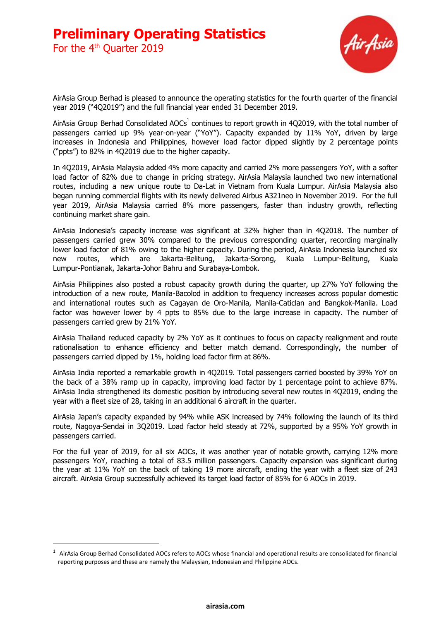For the 4<sup>th</sup> Quarter 2019



AirAsia Group Berhad is pleased to announce the operating statistics for the fourth quarter of the financial year 2019 ("4Q2019") and the full financial year ended 31 December 2019.

AirAsia Group Berhad Consolidated AOCs<sup>1</sup> continues to report growth in 4Q2019, with the total number of passengers carried up 9% year-on-year ("YoY"). Capacity expanded by 11% YoY, driven by large increases in Indonesia and Philippines, however load factor dipped slightly by 2 percentage points ("ppts") to 82% in 4Q2019 due to the higher capacity.

In 4Q2019, AirAsia Malaysia added 4% more capacity and carried 2% more passengers YoY, with a softer load factor of 82% due to change in pricing strategy. AirAsia Malaysia launched two new international routes, including a new unique route to Da-Lat in Vietnam from Kuala Lumpur. AirAsia Malaysia also began running commercial flights with its newly delivered Airbus A321neo in November 2019. For the full year 2019, AirAsia Malaysia carried 8% more passengers, faster than industry growth, reflecting continuing market share gain.

AirAsia Indonesia's capacity increase was significant at 32% higher than in 4Q2018. The number of passengers carried grew 30% compared to the previous corresponding quarter, recording marginally lower load factor of 81% owing to the higher capacity. During the period, AirAsia Indonesia launched six new routes, which are Jakarta-Belitung, Jakarta-Sorong, Kuala Lumpur-Belitung, Kuala Lumpur-Pontianak, Jakarta-Johor Bahru and Surabaya-Lombok.

AirAsia Philippines also posted a robust capacity growth during the quarter, up 27% YoY following the introduction of a new route, Manila-Bacolod in addition to frequency increases across popular domestic and international routes such as Cagayan de Oro-Manila, Manila-Caticlan and Bangkok-Manila. Load factor was however lower by 4 ppts to 85% due to the large increase in capacity. The number of passengers carried grew by 21% YoY.

AirAsia Thailand reduced capacity by 2% YoY as it continues to focus on capacity realignment and route rationalisation to enhance efficiency and better match demand. Correspondingly, the number of passengers carried dipped by 1%, holding load factor firm at 86%.

AirAsia India reported a remarkable growth in 4Q2019. Total passengers carried boosted by 39% YoY on the back of a 38% ramp up in capacity, improving load factor by 1 percentage point to achieve 87%. AirAsia India strengthened its domestic position by introducing several new routes in 4Q2019, ending the year with a fleet size of 28, taking in an additional 6 aircraft in the quarter.

AirAsia Japan's capacity expanded by 94% while ASK increased by 74% following the launch of its third route, Nagoya-Sendai in 3Q2019. Load factor held steady at 72%, supported by a 95% YoY growth in passengers carried.

For the full year of 2019, for all six AOCs, it was another year of notable growth, carrying 12% more passengers YoY, reaching a total of 83.5 million passengers. Capacity expansion was significant during the year at 11% YoY on the back of taking 19 more aircraft, ending the year with a fleet size of 243 aircraft. AirAsia Group successfully achieved its target load factor of 85% for 6 AOCs in 2019.

 $1$  AirAsia Group Berhad Consolidated AOCs refers to AOCs whose financial and operational results are consolidated for financial reporting purposes and these are namely the Malaysian, Indonesian and Philippine AOCs.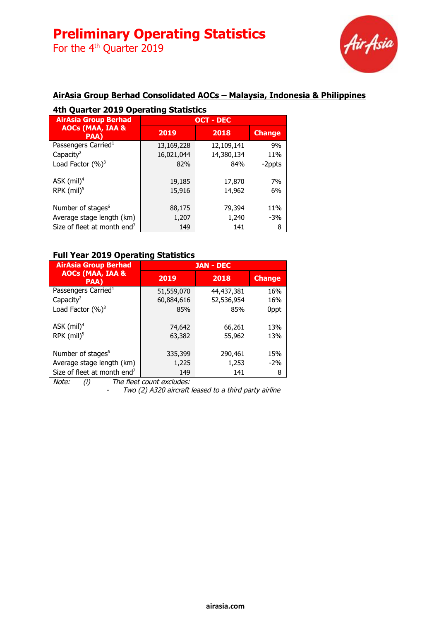For the 4<sup>th</sup> Quarter 2019



## **AirAsia Group Berhad Consolidated AOCs – Malaysia, Indonesia & Philippines**

### **4th Quarter 2019 Operating Statistics**

| <b>AirAsia Group Berhad</b>                |            | <b>OCT - DEC</b> |               |
|--------------------------------------------|------------|------------------|---------------|
| <b>AOCs (MAA, IAA &amp;</b><br><b>PAA)</b> | 2019       | 2018             | <b>Change</b> |
| Passengers Carried <sup>1</sup>            | 13,169,228 | 12,109,141       | 9%            |
| Capacity <sup>2</sup>                      | 16,021,044 | 14,380,134       | 11%           |
| Load Factor $(%)^3$                        | 82%        | 84%              | -2ppts        |
| ASK $(mil)^4$                              | 19,185     | 17,870           | 7%            |
| RPK $(mil)^5$                              | 15,916     | 14,962           | 6%            |
| Number of stages <sup>6</sup>              | 88,175     | 79,394           | 11%           |
| Average stage length (km)                  | 1,207      | 1,240            | $-3%$         |
| Size of fleet at month end <sup>7</sup>    | 149        | 141              | 8             |

#### **Full Year 2019 Operating Statistics**

| <b>AirAsia Group Berhad</b>                |            | <b>JAN - DEC</b> |               |
|--------------------------------------------|------------|------------------|---------------|
| <b>AOCs (MAA, IAA &amp;</b><br><b>PAA)</b> | 2019       | 2018             | <b>Change</b> |
| Passengers Carried <sup>1</sup>            | 51,559,070 | 44,437,381       | 16%           |
| Capacity <sup>2</sup>                      | 60,884,616 | 52,536,954       | 16%           |
| Load Factor $(%)^3$                        | 85%        | 85%              | 0ppt          |
| ASK $(mil)^4$                              | 74,642     | 66,261           | 13%           |
| RPK $(mil)^5$                              | 63,382     | 55,962           | 13%           |
| Number of stages <sup>6</sup>              | 335,399    | 290,461          | 15%           |
| Average stage length (km)                  | 1,225      | 1,253            | $-2\%$        |
| Size of fleet at month end <sup>7</sup>    | 149        | 141              | 8             |

Note: (i) The fleet count excludes:

- Two (2) A320 aircraft leased to <sup>a</sup> third party airline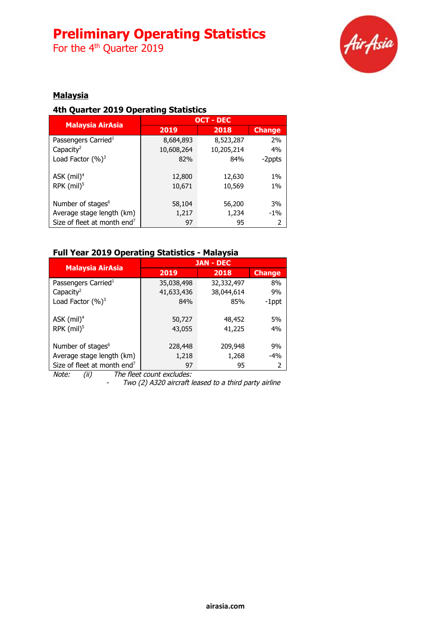For the 4<sup>th</sup> Quarter 2019



### **Malaysia**

### **4th Quarter 2019 Operating Statistics**

| <b>Malaysia AirAsia</b>                 |            | <b>OCT - DEC</b> |               |
|-----------------------------------------|------------|------------------|---------------|
|                                         | 2019       | 2018             | <b>Change</b> |
| Passengers Carried <sup>1</sup>         | 8,684,893  | 8,523,287        | 2%            |
| Capacity <sup>2</sup>                   | 10,608,264 | 10,205,214       | 4%            |
| Load Factor $(%)^3$                     | 82%        | 84%              | -2ppts        |
|                                         |            |                  |               |
| ASK $(mil)^4$                           | 12,800     | 12,630           | $1\%$         |
| RPK $(mil)^5$                           | 10,671     | 10,569           | 1%            |
|                                         |            |                  |               |
| Number of stages <sup>6</sup>           | 58,104     | 56,200           | 3%            |
| Average stage length (km)               | 1,217      | 1,234            | $-1\%$        |
| Size of fleet at month end <sup>7</sup> | 97         | 95               | 2             |

### **Full Year 2019 Operating Statistics - Malaysia**

| <b>Malaysia AirAsia</b>                 |            | <b>JAN - DEC</b> |               |
|-----------------------------------------|------------|------------------|---------------|
|                                         | 2019       | 2018             | <b>Change</b> |
| Passengers Carried <sup>1</sup>         | 35,038,498 | 32,332,497       | 8%            |
| Capacity <sup>2</sup>                   | 41,633,436 | 38,044,614       | 9%            |
| Load Factor $(%)^3$                     | 84%        | 85%              | $-1$ ppt      |
|                                         |            |                  |               |
| ASK $(mil)^4$                           | 50,727     | 48,452           | 5%            |
| RPK $(mil)^5$                           | 43,055     | 41,225           | 4%            |
|                                         |            |                  |               |
| Number of stages <sup>6</sup>           | 228,448    | 209,948          | 9%            |
| Average stage length (km)               | 1,218      | 1,268            | $-4%$         |
| Size of fleet at month end <sup>7</sup> | 97         | 95               |               |

Note: (ii) The fleet count excludes:

- Two (2) A320 aircraft leased to <sup>a</sup> third party airline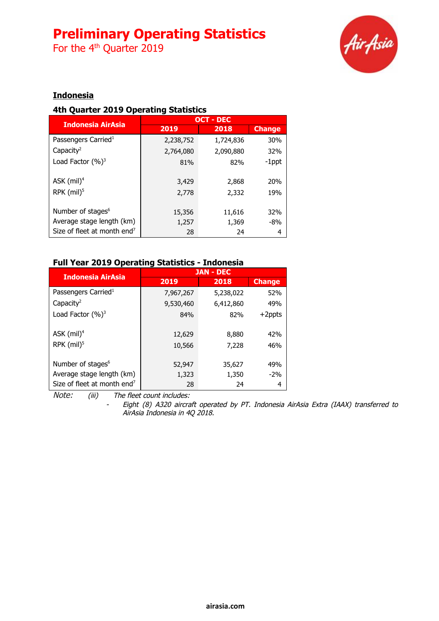For the 4<sup>th</sup> Quarter 2019



## **Indonesia**

### **4th Quarter 2019 Operating Statistics**

|                                         | <b>OCT - DEC</b> |                |               |
|-----------------------------------------|------------------|----------------|---------------|
| <b>Indonesia AirAsia</b>                | 2019             | 2018           | <b>Change</b> |
| Passengers Carried <sup>1</sup>         | 2,238,752        | 1,724,836      | 30%           |
| Capacity <sup>2</sup>                   | 2,764,080        | 2,090,880      | 32%           |
| Load Factor $(\%)^3$                    | 81%              | 82%            | $-1$ ppt      |
| ASK $(mil)^4$<br>RPK $(mil)^5$          | 3,429<br>2,778   | 2,868<br>2,332 | 20%<br>19%    |
| Number of stages <sup>6</sup>           | 15,356           | 11,616         | 32%           |
| Average stage length (km)               | 1,257            | 1,369          | -8%           |
| Size of fleet at month end <sup>7</sup> | 28               | 24             | 4             |

### **Full Year 2019 Operating Statistics - Indonesia**

| <b>Indonesia AirAsia</b>                |           | <b>JAN - DEC</b> |               |
|-----------------------------------------|-----------|------------------|---------------|
|                                         | 2019      | 2018             | <b>Change</b> |
| Passengers Carried <sup>1</sup>         | 7,967,267 | 5,238,022        | 52%           |
| Capacity <sup>2</sup>                   | 9,530,460 | 6,412,860        | 49%           |
| Load Factor $(\%)^3$                    | 84%       | 82%              | $+2$ ppts     |
|                                         |           |                  |               |
| ASK $(mil)^4$                           | 12,629    | 8,880            | 42%           |
| RPK $(mil)^5$                           | 10,566    | 7,228            | 46%           |
|                                         |           |                  |               |
| Number of stages <sup>6</sup>           | 52,947    | 35,627           | 49%           |
| Average stage length (km)               | 1,323     | 1,350            | $-2\%$        |
| Size of fleet at month end <sup>7</sup> | 28        | 24               | 4             |
|                                         |           |                  |               |

Note: (iii) The fleet count includes:

 Eight (8) A320 aircraft operated by PT. Indonesia AirAsia Extra (IAAX) transferred to AirAsia Indonesia in 4Q 2018.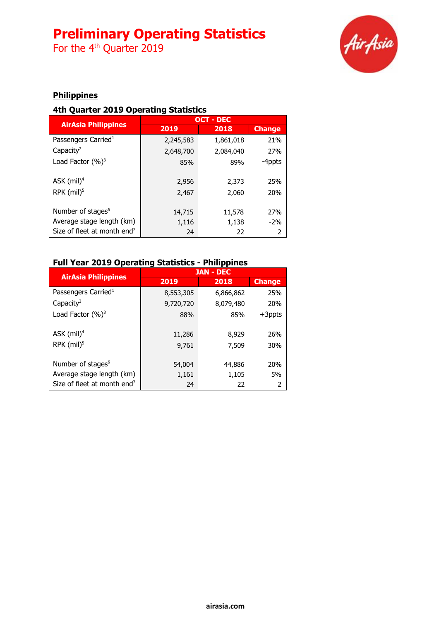For the 4<sup>th</sup> Quarter 2019



## **Philippines**

### **4th Quarter 2019 Operating Statistics**

|                                         | <b>OCT - DEC</b> |           |               |
|-----------------------------------------|------------------|-----------|---------------|
| <b>AirAsia Philippines</b>              | 2019             | 2018      | <b>Change</b> |
| Passengers Carried <sup>1</sup>         | 2,245,583        | 1,861,018 | 21%           |
| Capacity <sup>2</sup>                   | 2,648,700        | 2,084,040 | 27%           |
| Load Factor $(\%)^3$                    | 85%              | 89%       | -4ppts        |
| ASK $(mil)^4$                           | 2,956            | 2,373     | 25%           |
| RPK $(mil)^5$                           | 2,467            | 2,060     | 20%           |
| Number of stages <sup>6</sup>           | 14,715           | 11,578    | 27%           |
| Average stage length (km)               | 1,116            | 1,138     | $-2\%$        |
| Size of fleet at month end <sup>7</sup> | 24               | 22        | 2             |

## **Full Year 2019 Operating Statistics - Philippines**

|                                         |                 | <b>JAN - DEC</b> |               |
|-----------------------------------------|-----------------|------------------|---------------|
| <b>AirAsia Philippines</b>              | 2019            | 2018             | <b>Change</b> |
| Passengers Carried <sup>1</sup>         | 8,553,305       | 6,866,862        | 25%           |
| Capacity <sup>2</sup>                   | 9,720,720       | 8,079,480        | 20%           |
| Load Factor $(%)^3$                     | 88%             | 85%              | $+3$ ppts     |
| ASK $(mil)^4$<br>RPK (mil) <sup>5</sup> | 11,286<br>9,761 | 8,929<br>7,509   | 26%<br>30%    |
| Number of stages <sup>6</sup>           | 54,004          | 44,886           | 20%           |
| Average stage length (km)               | 1,161           | 1,105            | 5%            |
| Size of fleet at month end <sup>7</sup> | 24              | 22               | 2             |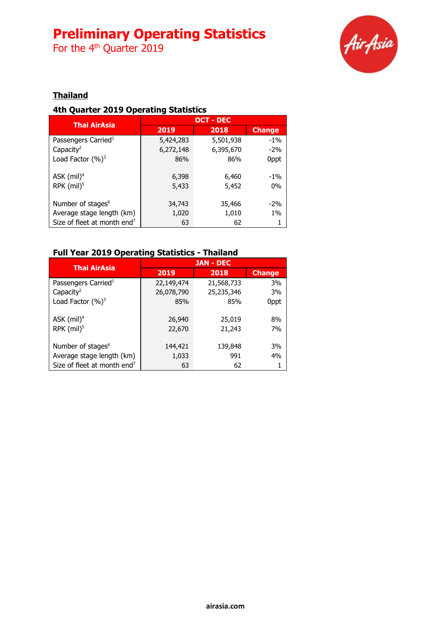For the 4<sup>th</sup> Quarter 2019



## **Thailand**

### **4th Quarter 2019 Operating Statistics**

| <b>Thai AirAsia</b>                     |           | <b>OCT - DEC</b> |               |
|-----------------------------------------|-----------|------------------|---------------|
|                                         | 2019      | 2018             | <b>Change</b> |
| Passengers Carried <sup>1</sup>         | 5,424,283 | 5,501,938        | $-1\%$        |
| Capacity <sup>2</sup>                   | 6,272,148 | 6,395,670        | $-2\%$        |
| Load Factor $(%)^3$                     | 86%       | 86%              | 0ppt          |
|                                         |           |                  |               |
| ASK $(mil)^4$                           | 6,398     | 6,460            | $-1\%$        |
| RPK $(mil)^5$                           | 5,433     | 5,452            | 0%            |
|                                         |           |                  |               |
| Number of stages <sup>6</sup>           | 34,743    | 35,466           | $-2\%$        |
| Average stage length (km)               | 1,020     | 1,010            | $1\%$         |
| Size of fleet at month end <sup>7</sup> | 63        | 62               |               |

## **Full Year 2019 Operating Statistics - Thailand**

| <b>Thai AirAsia</b>                     |            | <b>JAN - DEC</b> |               |
|-----------------------------------------|------------|------------------|---------------|
|                                         | 2019       | 2018             | <b>Change</b> |
| Passengers Carried <sup>1</sup>         | 22,149,474 | 21,568,733       | 3%            |
| Capacity <sup>2</sup>                   | 26,078,790 | 25,235,346       | 3%            |
| Load Factor $(%)^3$                     | 85%        | 85%              | 0ppt          |
|                                         |            |                  |               |
| ASK $(mil)^4$                           | 26,940     | 25,019           | 8%            |
| RPK $(mil)^5$                           | 22,670     | 21,243           | 7%            |
|                                         |            |                  |               |
| Number of stages <sup>6</sup>           | 144,421    | 139,848          | 3%            |
| Average stage length (km)               | 1,033      | 991              | 4%            |
| Size of fleet at month end <sup>7</sup> | 63         | 62               |               |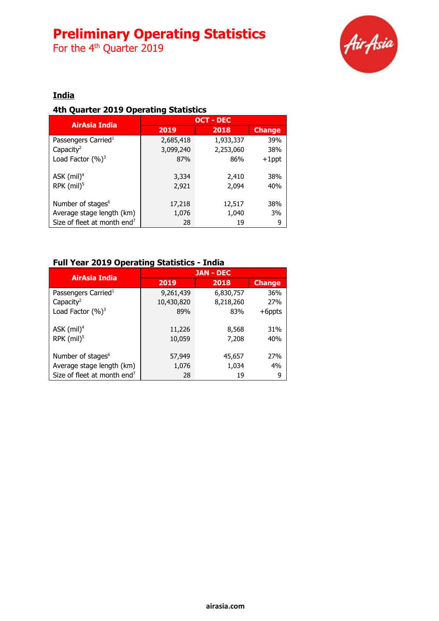For the 4<sup>th</sup> Quarter 2019



## **India**

### **4th Quarter 2019 Operating Statistics**

|                                         |           | <b>OCT - DEC</b> |               |
|-----------------------------------------|-----------|------------------|---------------|
| <b>AirAsia India</b>                    | 2019      | 2018             | <b>Change</b> |
| Passengers Carried <sup>1</sup>         | 2,685,418 | 1,933,337        | 39%           |
| Capacity <sup>2</sup>                   | 3,099,240 | 2,253,060        | 38%           |
| Load Factor $(%)^3$                     | 87%       | 86%              | $+1$ ppt      |
|                                         |           |                  |               |
| ASK $(mil)^4$                           | 3,334     | 2,410            | 38%           |
| RPK $(mil)^5$                           | 2,921     | 2,094            | 40%           |
|                                         |           |                  |               |
| Number of stages <sup>6</sup>           | 17,218    | 12,517           | 38%           |
| Average stage length (km)               | 1,076     | 1,040            | 3%            |
| Size of fleet at month end <sup>7</sup> | 28        | 19               | 9             |

### **Full Year 2019 Operating Statistics - India**

| AirAsia India                           |            | <b>JAN - DEC</b> |               |
|-----------------------------------------|------------|------------------|---------------|
|                                         | 2019       | 2018             | <b>Change</b> |
| Passengers Carried <sup>1</sup>         | 9,261,439  | 6,830,757        | 36%           |
| Capacity <sup>2</sup>                   | 10,430,820 | 8,218,260        | 27%           |
| Load Factor $(%)^3$                     | 89%        | 83%              | $+6$ ppts     |
|                                         |            |                  |               |
| ASK $(mil)^4$                           | 11,226     | 8,568            | 31%           |
| RPK $(mil)^5$                           | 10,059     | 7,208            | 40%           |
|                                         |            |                  |               |
| Number of stages <sup>6</sup>           | 57,949     | 45,657           | 27%           |
| Average stage length (km)               | 1,076      | 1,034            | 4%            |
| Size of fleet at month end <sup>7</sup> | 28         | 19               | 9             |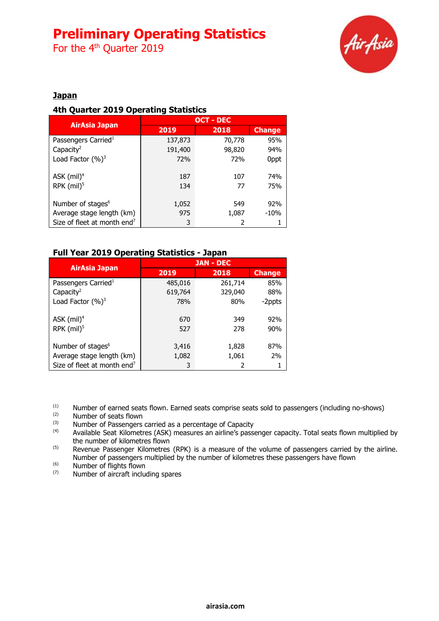For the 4<sup>th</sup> Quarter 2019



### **Japan**

### **4th Quarter 2019 Operating Statistics**

| <b>AirAsia Japan</b>                    | <b>OCT - DEC</b> |        |               |
|-----------------------------------------|------------------|--------|---------------|
|                                         | 2019             | 2018   | <b>Change</b> |
| Passengers Carried <sup>1</sup>         | 137,873          | 70,778 | 95%           |
| Capacity <sup>2</sup>                   | 191,400          | 98,820 | 94%           |
| Load Factor $(%)^3$                     | <b>72%</b>       | 72%    | 0ppt          |
|                                         |                  |        |               |
| ASK $(mil)^4$                           | 187              | 107    | 74%           |
| RPK $(mil)^5$                           | 134              | 77     | 75%           |
|                                         |                  |        |               |
| Number of stages <sup>6</sup>           | 1,052            | 549    | 92%           |
| Average stage length (km)               | 975              | 1,087  | $-10%$        |
| Size of fleet at month end <sup>7</sup> | 3                |        |               |

### **Full Year 2019 Operating Statistics - Japan**

|                                         | <b>JAN - DEC</b> |         |               |
|-----------------------------------------|------------------|---------|---------------|
| <b>AirAsia Japan</b>                    | 2019             | 2018    | <b>Change</b> |
| Passengers Carried <sup>1</sup>         | 485,016          | 261,714 | 85%           |
| Capacity <sup>2</sup>                   | 619,764          | 329,040 | 88%           |
| Load Factor $(\%)^3$                    | 78%              | 80%     | -2ppts        |
| ASK $(mil)^4$                           | 670              | 349     | 92%           |
| RPK $(mil)^5$                           | 527              | 278     | 90%           |
| Number of stages <sup>6</sup>           | 3,416            | 1,828   | 87%           |
| Average stage length (km)               | 1,082            | 1,061   | 2%            |
| Size of fleet at month end <sup>7</sup> | 3                |         |               |

(1) Number of earned seats flown. Earned seats comprise seats sold to passengers (including no-shows)  $\frac{1}{2}$ 

 $\frac{1}{2}$  Number of seats flown<br> $\frac{1}{2}$  Number of Passengers

(3)  $\mu$  Number of Passengers carried as a percentage of Capacity<br>(4)  $\mu$  Available Seat Kilometres (ASK) measures an airline's nass

(4) Available Seat Kilometres (ASK) measures an airline's passenger capacity. Total seats flown multiplied by the number of kilometres flown

<sup>(5)</sup> Revenue Passenger Kilometres (RPK) is a measure of the volume of passengers carried by the airline. Number of passengers multiplied by the number of kilometres these passengers have flown

 $^{(6)}$  Number of flights flown

Number of aircraft including spares